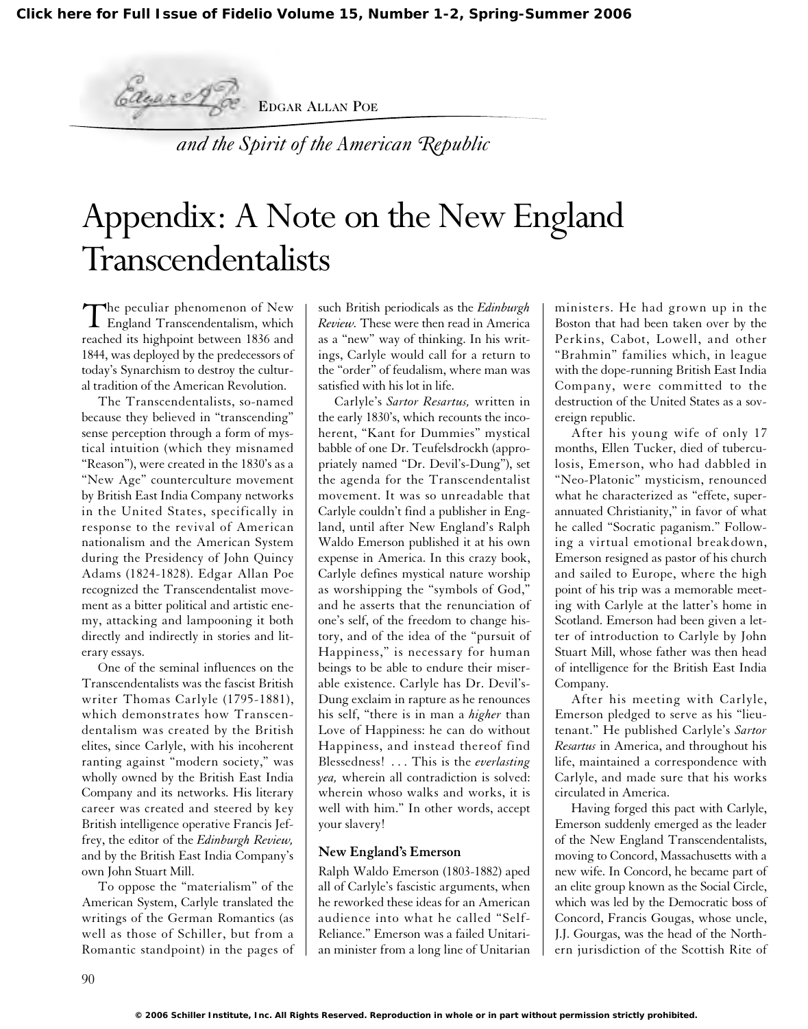EDGAR ALLAN POE

*and the Spirit of the American Republic*

## Appendix: A Note on the New England Transcendentalists

The peculiar phenomenon of New<br>England Transcendentalism, which reached its highpoint between 1836 and 1844, was deployed by the predecessors of today's Synarchism to destroy the cultural tradition of the American Revolution.

Edgar of

The Transcendentalists, so-named because they believed in "transcending" sense perception through a form of mystical intuition (which they misnamed "Reason"), were created in the 1830's as a "New Age" counterculture movement by British East India Company networks in the United States, specifically in response to the revival of American nationalism and the American System during the Presidency of John Quincy Adams (1824-1828). Edgar Allan Poe recognized the Transcendentalist movement as a bitter political and artistic enemy, attacking and lampooning it both directly and indirectly in stories and literary essays.

One of the seminal influences on the Transcendentalists was the fascist British writer Thomas Carlyle (1795-1881), which demonstrates how Transcendentalism was created by the British elites, since Carlyle, with his incoherent ranting against "modern society," was wholly owned by the British East India Company and its networks. His literary career was created and steered by key British intelligence operative Francis Jeffrey, the editor of the *Edinburgh Review,* and by the British East India Company's own John Stuart Mill.

To oppose the "materialism" of the American System, Carlyle translated the writings of the German Romantics (as well as those of Schiller, but from a Romantic standpoint) in the pages of such British periodicals as the *Edinburgh Review.* These were then read in America as a "new" way of thinking. In his writings, Carlyle would call for a return to the "order" of feudalism, where man was satisfied with his lot in life.

Carlyle's *Sartor Resartus,* written in the early 1830's, which recounts the incoherent, "Kant for Dummies" mystical babble of one Dr. Teufelsdrockh (appropriately named "Dr. Devil's-Dung"), set the agenda for the Transcendentalist movement. It was so unreadable that Carlyle couldn't find a publisher in England, until after New England's Ralph Waldo Emerson published it at his own expense in America. In this crazy book, Carlyle defines mystical nature worship as worshipping the "symbols of God," and he asserts that the renunciation of one's self, of the freedom to change history, and of the idea of the "pursuit of Happiness," is necessary for human beings to be able to endure their miserable existence. Carlyle has Dr. Devil's-Dung exclaim in rapture as he renounces his self, "there is in man a *higher* than Love of Happiness: he can do without Happiness, and instead thereof find Blessedness! . . . This is the *everlasting yea,* wherein all contradiction is solved: wherein whoso walks and works, it is well with him." In other words, accept your slavery!

## **New England's Emerson**

Ralph Waldo Emerson (1803-1882) aped all of Carlyle's fascistic arguments, when he reworked these ideas for an American audience into what he called "Self-Reliance." Emerson was a failed Unitarian minister from a long line of Unitarian ministers. He had grown up in the Boston that had been taken over by the Perkins, Cabot, Lowell, and other "Brahmin" families which, in league with the dope-running British East India Company, were committed to the destruction of the United States as a sovereign republic.

After his young wife of only 17 months, Ellen Tucker, died of tuberculosis, Emerson, who had dabbled in "Neo-Platonic" mysticism, renounced what he characterized as "effete, superannuated Christianity," in favor of what he called "Socratic paganism." Following a virtual emotional breakdown, Emerson resigned as pastor of his church and sailed to Europe, where the high point of his trip was a memorable meeting with Carlyle at the latter's home in Scotland. Emerson had been given a letter of introduction to Carlyle by John Stuart Mill, whose father was then head of intelligence for the British East India Company.

After his meeting with Carlyle, Emerson pledged to serve as his "lieutenant." He published Carlyle's *Sartor Resartus* in America, and throughout his life, maintained a correspondence with Carlyle, and made sure that his works circulated in America.

Having forged this pact with Carlyle, Emerson suddenly emerged as the leader of the New England Transcendentalists, moving to Concord, Massachusetts with a new wife. In Concord, he became part of an elite group known as the Social Circle, which was led by the Democratic boss of Concord, Francis Gougas, whose uncle, J.J. Gourgas, was the head of the Northern jurisdiction of the Scottish Rite of